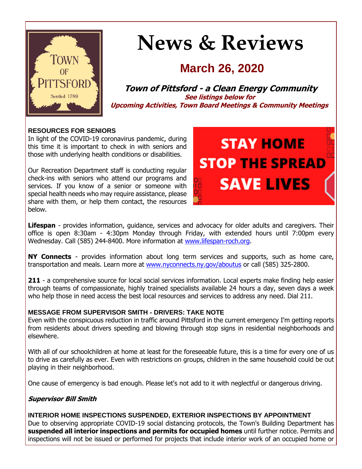

# **News & Reviews**

## **March 26, 2020**

**Town of Pittsford - a Clean Energy Community See listings below for Upcoming Activities, Town Board Meetings & Community Meetings**

#### **RESOURCES FOR SENIORS**

In light of the COVID-19 coronavirus pandemic, during this time it is important to check in with seniors and those with underlying health conditions or disabilities.

Our Recreation Department staff is conducting regular check-ins with seniors who attend our programs and services. If you know of a senior or someone with special health needs who may require assistance, please share with them, or help them contact, the resources below.

# **STAY HOME STOP THE SPREAD SAVE LIVES**

**Lifespan** - provides information, guidance, services and advocacy for older adults and caregivers. Their office is open 8:30am - 4:30pm Monday through Friday, with extended hours until 7:00pm every Wednesday. Call (585) 244-8400. More information at [www.lifespan-roch.org.](http://r20.rs6.net/tn.jsp?f=001RyBGNqsL7OBdmdVzKgz0WGIHSnHVZw8h0s0oQO3pN-xViJnO6rY2ol9HWZ-5Qua7IS48vsqX5TxKhDCH36uN7R315OINqiXKScU1hiTKOVVfQkIUiefu3exfXGZJnkdKeMpvsHBY1IylSpeSOgahzKWi1xYfwE5bwURIrosOO5GEiGMZYSm6dJL1uUtQD4MUxm1jLVDWZdDUiRYxq9dPtySeSgUHchJdgPalrPjPuGZZATECmt8FuAA4ejXSCzeQPBVCQ-n1oDVsdfUpGS7b8HvhG6CSLHYDspg_s-Uz1lI=&c=rWR2rwN8iMYucZCjpzLb1KwZKvIQdX1j55vdWtzN5mXLzzR1u3gWjA==&ch=IDfNPbvseTBR53DFk-tFwbyVVuoi_8uBKejA8R6sBUcnTwtwh6c2Lw==)

**NY Connects** - provides information about long term services and supports, such as home care, transportation and meals. Learn more at [www.nyconnects.ny.gov/aboutus](http://r20.rs6.net/tn.jsp?f=001RyBGNqsL7OBdmdVzKgz0WGIHSnHVZw8h0s0oQO3pN-xViJnO6rY2ol9HWZ-5Qua7Qdc1OGOb2PqRVpaI5Co8kwpVBSsPV7mPQjnvkHnWBJcXILaWVco9ByWBLIn-Wz4WXBZ-xFAYIZ1buxoO27wZ4JF_ZE_iTVpWCs1BcpY6REBt9hCkixBq8BzRsHMGWGVvgU4_peiJx-_nqFwl2hb6HwejtjSGaxVviwJUWnAbZ8d6acZ66moOuv8RkoCJ5PoPJR-pIa3sR8T2alMokgJNXwuY55cUO3i16qXmWhWcpj6OlK4q0ngZyQ==&c=rWR2rwN8iMYucZCjpzLb1KwZKvIQdX1j55vdWtzN5mXLzzR1u3gWjA==&ch=IDfNPbvseTBR53DFk-tFwbyVVuoi_8uBKejA8R6sBUcnTwtwh6c2Lw==) or call (585) 325-2800.

**211** - a comprehensive source for local social services information. Local experts make finding help easier through teams of compassionate, highly trained specialists available 24 hours a day, seven days a week who help those in need access the best local resources and services to address any need. Dial 211.

#### **MESSAGE FROM SUPERVISOR SMITH - DRIVERS: TAKE NOTE**

Even with the conspicuous reduction in traffic around Pittsford in the current emergency I'm getting reports from residents about drivers speeding and blowing through stop signs in residential neighborhoods and elsewhere.

With all of our schoolchildren at home at least for the foreseeable future, this is a time for every one of us to drive as carefully as ever. Even with restrictions on groups, children in the same household could be out playing in their neighborhood.

One cause of emergency is bad enough. Please let's not add to it with neglectful or dangerous driving.

### **Supervisor Bill Smith**

**INTERIOR HOME INSPECTIONS SUSPENDED, EXTERIOR INSPECTIONS BY APPOINTMENT** Due to observing appropriate COVID-19 social distancing protocols, the Town's Building Department has **suspended all interior inspections and permits for occupied homes** until further notice. Permits and inspections will not be issued or performed for projects that include interior work of an occupied home or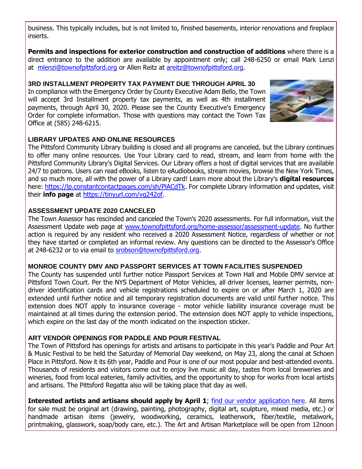business. This typically includes, but is not limited to, finished basements, interior renovations and fireplace inserts.

**Permits and inspections for exterior construction and construction of additions** where there is a direct entrance to the addition are available by appointment only; call 248-6250 or email Mark Lenzi at [mlenzi@townofpittsford.org](mailto:mlenzi@townofpittsford.org?subject=Building%20Inspection) or Allen Reitz at [areitz@townofpittsford.org.](mailto:areitz@townofpittsford.org?subject=Building%20Inspection)

#### **3RD INSTALLMENT PROPERTY TAX PAYMENT DUE THROUGH APRIL 30**

In compliance with the Emergency Order by County Executive Adam Bello, the Town will accept 3rd Installment property tax payments, as well as 4th installment payments, through April 30, 2020. Please see the County Executive's Emergency Order for complete information. Those with questions may contact the Town Tax Office at (585) 248-6215.



#### **LIBRARY UPDATES AND ONLINE RESOURCES**

The Pittsford Community Library building is closed and all programs are canceled, but the Library continues to offer many online resources. Use Your Library card to read, stream, and learn from home with the Pittsford Community Library's Digital Services. Our Library offers a host of digital services that are available 24/7 to patrons. Users can read eBooks, listen to eAudiobooks, stream movies, browse the New York Times, and so much more, all with the power of a Library card! Learn more about the Library's **digital resources** here: [https://lp.constantcontactpages.com/sh/PlACdTk.](http://r20.rs6.net/tn.jsp?f=001RyBGNqsL7OBdmdVzKgz0WGIHSnHVZw8h0s0oQO3pN-xViJnO6rY2ol9HWZ-5Qua7PdLf3k8OibCNim6Qv4cF6lRcvjmWpicur6h-YG4hrJVGBA_TBgZ-1itsgNd24rYwps_S0kgxTa8_dZND0EbzwSaifGJMdJIPuKBapdnj83kfVJpdw0nn6zCuL5_6ywsmmGmmPejbfdHNp9bK804ScUn-BWpAA1GKuC1PETLiW2ELJFhzPIGzRtw_nArJp-3PeYIiX2hKUf6CjoQSMG99yiVAYuSHCKWidWfd9ITB3zAQL8wT2KPyz6vSk3MDLsg3&c=rWR2rwN8iMYucZCjpzLb1KwZKvIQdX1j55vdWtzN5mXLzzR1u3gWjA==&ch=IDfNPbvseTBR53DFk-tFwbyVVuoi_8uBKejA8R6sBUcnTwtwh6c2Lw==) For complete Library information and updates, visit their **info page** at [https://tinyurl.com/vg242of.](http://r20.rs6.net/tn.jsp?f=001RyBGNqsL7OBdmdVzKgz0WGIHSnHVZw8h0s0oQO3pN-xViJnO6rY2ol9HWZ-5Qua7CQz1ihneBTla1Ougfv5MyIxYdwVzPaorgrHn8eUVJFt9y98w9beURsZMslScEUrTK9c3Uq6F_G7nVwf86vYHi57hzNon5H1YnMOBdHxJN97lMVb02WwwZQ==&c=rWR2rwN8iMYucZCjpzLb1KwZKvIQdX1j55vdWtzN5mXLzzR1u3gWjA==&ch=IDfNPbvseTBR53DFk-tFwbyVVuoi_8uBKejA8R6sBUcnTwtwh6c2Lw==)

#### **ASSESSMENT UPDATE 2020 CANCELED**

The Town Assessor has rescinded and canceled the Town's 2020 assessments. For full information, visit the Assessment Update web page at [www.townofpittsford.org/home-assessor/assessment-update.](http://r20.rs6.net/tn.jsp?f=001RyBGNqsL7OBdmdVzKgz0WGIHSnHVZw8h0s0oQO3pN-xViJnO6rY2osdMA7yzSaxt0Ux14kntb-iCbhcDMsmoT0WexGAY8ITSk4fEboyXIjQOovJbUVFsZEig5BAimr9Y-e9OHJugLNHwe1s2ZrfsnZp4TIiBEkdpaZLGB3HOjCjIBgFP9_Z9bpIDY8mSVmDZUbT3jrMt8jK1cW4JkOesmb53sjU1-QqvV3rjerzezhEbC8hgSKN1QQLbnVKEHTPt0-FkOOK_vyvuv9bh2_wQTiOFJilrKnuo73NWDnsTosaMW9k46pqzStHWURBIgy67zIKUcJOlwm3pUEhjL2h96w==&c=rWR2rwN8iMYucZCjpzLb1KwZKvIQdX1j55vdWtzN5mXLzzR1u3gWjA==&ch=IDfNPbvseTBR53DFk-tFwbyVVuoi_8uBKejA8R6sBUcnTwtwh6c2Lw==) No further action is required by any resident who received a 2020 Assessment Notice, regardless of whether or not they have started or completed an informal review. Any questions can be directed to the Assessor's Office at 248-6232 or to via email to [srobson@townofpittsford.org.](mailto:srobson@townofpittsford.org?subject=Assessment%202020)

#### **MONROE COUNTY DMV AND PASSPORT SERVICES AT TOWN FACILITIES SUSPENDED**

The County has suspended until further notice Passport Services at Town Hall and Mobile DMV service at Pittsford Town Court. Per the NYS Department of Motor Vehicles, all driver licenses, learner permits, nondriver identification cards and vehicle registrations scheduled to expire on or after March 1, 2020 are extended until further notice and all temporary registration documents are valid until further notice. This extension does NOT apply to insurance coverage - motor vehicle liability insurance coverage must be maintained at all times during the extension period. The extension does NOT apply to vehicle inspections, which expire on the last day of the month indicated on the inspection sticker.

#### **ART VENDOR OPENINGS FOR PADDLE AND POUR FESTIVAL**

The Town of Pittsford has openings for artists and artisans to participate in this year's Paddle and Pour Art & Music Festival to be held the Saturday of Memorial Day weekend, on May 23, along the canal at Schoen Place in Pittsford. Now it its 6th year, Paddle and Pour is one of our most popular and best-attended events. Thousands of residents and visitors come out to enjoy live music all day, tastes from local breweries and wineries, food from local eateries, family activities, and the opportunity to shop for works from local artists and artisans. The Pittsford Regatta also will be taking place that day as well.

**Interested artists and artisans should apply by April 1**; [find our vendor application here.](http://r20.rs6.net/tn.jsp?f=001RyBGNqsL7OBdmdVzKgz0WGIHSnHVZw8h0s0oQO3pN-xViJnO6rY2oqSVerE5WhkbV3kMPmS0BdVBNKNP5f2rJPECh5o3S6vhO_NCqBh-s4l4Cfc4sC4PSDNT58OSYH8SvTtvLAm05HhDL_MXA6RTOmFA5979chCIdtpzdDLvE2wlwQ5idgeZpLdQA2BkwsL7F-LUPHzgEYsFSxFg2oD5Ljk9itve-g6wcsu2IfscIs1NRKwd4z3L8Y1JBv-pUDTiXjussNvQIvwxobxE3l6RJWWOleWLNEf6TI0iwcgeXYie1-laETjcKz4bf7uUvHNWYw-5-Ds9UFhdIn1LUo2eZHJZG9Tr4rkTiy7sNELQppDcxkH1Dywe6A==&c=rWR2rwN8iMYucZCjpzLb1KwZKvIQdX1j55vdWtzN5mXLzzR1u3gWjA==&ch=IDfNPbvseTBR53DFk-tFwbyVVuoi_8uBKejA8R6sBUcnTwtwh6c2Lw==) All items for sale must be original art (drawing, painting, photography, digital art, sculpture, mixed media, etc.) or handmade artisan items (jewelry, woodworking, ceramics, leatherwork, fiber/textile, metalwork, printmaking, glasswork, soap/body care, etc.). The Art and Artisan Marketplace will be open from 12noon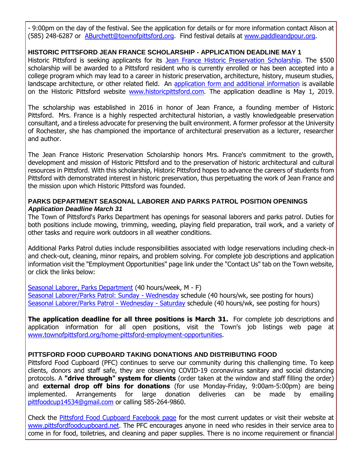- 9:00pm on the day of the festival. See the application for details or for more information contact Alison at (585) 248-6287 or [ABurchett@townofpittsford.org.](mailto:ABurchett@townofpittsford.org?subject=Paddle%20and%20Pour%20Art%20Vendor%20Application) Find festival details at [www.paddleandpour.org.](http://r20.rs6.net/tn.jsp?f=001RyBGNqsL7OBdmdVzKgz0WGIHSnHVZw8h0s0oQO3pN-xViJnO6rY2ovhS-vBbA6UyShTIkMwGZcrBUNU7-7rJsORebNXTxyIjnXb0NegkYjxBAiU0mKUwwKdRnAm3EtESQG37s1GUSjnhQsN1zfI4Wiuh085M5_uMBf2lebaHrjdFQ8-mmrWrC_zuRIodUhoTiyuqONZH07QaUw9H_FNSMdsByKOICCYfVsl-qd9Wvxq96rVGc05T0RjO-UEl8TXv6iLB-HsVvJfPUxXO-69cyD2RANODt078m7HHQ3uiwAQ=&c=rWR2rwN8iMYucZCjpzLb1KwZKvIQdX1j55vdWtzN5mXLzzR1u3gWjA==&ch=IDfNPbvseTBR53DFk-tFwbyVVuoi_8uBKejA8R6sBUcnTwtwh6c2Lw==)

#### **HISTORIC PITTSFORD JEAN FRANCE SCHOLARSHIP - APPLICATION DEADLINE MAY 1**

Historic Pittsford is seeking applicants for its [Jean France Historic Preservation Scholarship.](http://r20.rs6.net/tn.jsp?f=001RyBGNqsL7OBdmdVzKgz0WGIHSnHVZw8h0s0oQO3pN-xViJnO6rY2opyuGIK8kws61W8I2dGIsEUXmjUPYLANj_1QxiD0NVmMWoiLLOC3FzFozW6KYPsXBPElq2MzyPHTmslniWttZxSzltvvseh71wXISVBbOCExNyCbYs_31R28rYkvIFM3f6APsfOxW-OKWsNpS6MAa3f6WDPKV4byJF8PS-A1wPkbO5yRfD7LRrh7QebkuuO2reaiMF7ryCVj7xPEbNMiBf3FUrpQ0_b-qSlYRf0NZScM_hfwMgi2zFq-TEGP7tQmSw==&c=rWR2rwN8iMYucZCjpzLb1KwZKvIQdX1j55vdWtzN5mXLzzR1u3gWjA==&ch=IDfNPbvseTBR53DFk-tFwbyVVuoi_8uBKejA8R6sBUcnTwtwh6c2Lw==) The \$500 scholarship will be awarded to a Pittsford resident who is currently enrolled or has been accepted into a college program which may lead to a career in historic preservation, architecture, history, museum studies, landscape architecture, or other related field. An [application form and additional information](http://r20.rs6.net/tn.jsp?f=001RyBGNqsL7OBdmdVzKgz0WGIHSnHVZw8h0s0oQO3pN-xViJnO6rY2oo_kh6jld0qNQtLb7fD3Jkwtfk0QkWGAe2fyQ6THaZwZ0NVbPalWFsgN9QQT6rbII1IwAP1xCvhRzWrxNc5DPdeQdBLV9w8im_QwAkJsHApxo6OcGYVSUZ6hPIbe_LfFjVGNeoI3BRJWiCMEzMCSwJqKLSpxmEkd8sTJvn9DSuwHfHabHQHex_mJLnr3gz5iR6LTuyHhJW8zmhDJFTw8MMT3Fk8YLzd14a_mV1Rh8RKTQAu3AAKqvkDiEQGlhL9ASHmToDat8fYid69fTBWd5ML8DbfLCcYtsA==&c=rWR2rwN8iMYucZCjpzLb1KwZKvIQdX1j55vdWtzN5mXLzzR1u3gWjA==&ch=IDfNPbvseTBR53DFk-tFwbyVVuoi_8uBKejA8R6sBUcnTwtwh6c2Lw==) is available on the Historic Pittsford website [www.historicpittsford.com.](http://r20.rs6.net/tn.jsp?f=001RyBGNqsL7OBdmdVzKgz0WGIHSnHVZw8h0s0oQO3pN-xViJnO6rY2omCZEbO_iGuWotOigs8395ys0LoXSLtIZbMkzVF7uxDfcI8zCULJdTJA5FiOZ8lntbsDv7pHL8eknu1rOSADpgvyyz5uj7SuCu0p9j7V5ZbgUftkRsEfBkr16izcW7_GeLlC61QHjkMeAnmQOwspiyNivNCXhbIiXjamjER4D7F-SkFGM_DQsFIOB0ZzWwXVaYG7xrJrnzlx4msXeRJO53TGWYIGQdmNPoDIVKZJQBSEiU2YOZDBIg8=&c=rWR2rwN8iMYucZCjpzLb1KwZKvIQdX1j55vdWtzN5mXLzzR1u3gWjA==&ch=IDfNPbvseTBR53DFk-tFwbyVVuoi_8uBKejA8R6sBUcnTwtwh6c2Lw==) The application deadline is May 1, 2019.

The scholarship was established in 2016 in honor of Jean France, a founding member of Historic Pittsford. Mrs. France is a highly respected architectural historian, a vastly knowledgeable preservation consultant, and a tireless advocate for preserving the built environment. A former professor at the University of Rochester, she has championed the importance of architectural preservation as a lecturer, researcher and author.

The Jean France Historic Preservation Scholarship honors Mrs. France's commitment to the growth, development and mission of Historic Pittsford and to the preservation of historic architectural and cultural resources in Pittsford. With this scholarship, Historic Pittsford hopes to advance the careers of students from Pittsford with demonstrated interest in historic preservation, thus perpetuating the work of Jean France and the mission upon which Historic Pittsford was founded.

#### **PARKS DEPARTMENT SEASONAL LABORER AND PARKS PATROL POSITION OPENINGS** *Application Deadline March 31*

The Town of Pittsford's Parks Department has openings for seasonal laborers and parks patrol. Duties for both positions include mowing, trimming, weeding, playing field preparation, trail work, and a variety of other tasks and require work outdoors in all weather conditions.

Additional Parks Patrol duties include responsibilities associated with lodge reservations including check-in and check-out, cleaning, minor repairs, and problem solving. For complete job descriptions and application information visit the "Employment Opportunities" page link under the "Contact Us" tab on the Town website, or click the links below:

[Seasonal Laborer, Parks Department](http://r20.rs6.net/tn.jsp?f=001RyBGNqsL7OBdmdVzKgz0WGIHSnHVZw8h0s0oQO3pN-xViJnO6rY2olfcUCIEM-d-ywWbNBoxRnJ3fP1jUdZDLsWn0dvzGFArNz7Iwadikkgwlkjfyxsw9Ez6Cq74q_8K8U7K3uTjvNzk2BzR0GuTqUR5H9ZCJTSKNGAMo3FrLNIzRCq7kUFg8TDGFQMS9gwyesKpzD4CRdC0hA8YhuoHOw4VLioRh3-JfqOGF7Jgu1brlS3nnVZCxq2F2Drh6nsSZFQO0ANj0XAJk0eqJmu0hgx7WlXt5hbnXFAOpbuKUva80ve6wr1fbKvBzy6Mdcg-X3hvq502iLNfAQ1dxiuQF1OPXgRgjHjvL9WHurzdevFGBQSC0PvC1GiIbrYstsCH4tMcYE66BIVS2clOYMrf7w==&c=rWR2rwN8iMYucZCjpzLb1KwZKvIQdX1j55vdWtzN5mXLzzR1u3gWjA==&ch=IDfNPbvseTBR53DFk-tFwbyVVuoi_8uBKejA8R6sBUcnTwtwh6c2Lw==) (40 hours/week, M - F) [Seasonal Laborer/Parks Patrol: Sunday -](http://r20.rs6.net/tn.jsp?f=001RyBGNqsL7OBdmdVzKgz0WGIHSnHVZw8h0s0oQO3pN-xViJnO6rY2olfcUCIEM-d-lkcN91tc92FCKpX1GVht6JxpK2HpE1srPMpkSFbzz14prMLOB53ksF9gntAFDJys81kU2hIoXH6KNxCPETUhx5P6YDt0GLdfA4mVjlPhkERblwyVIBr0MeaSRKpdyHtfxElq3Vrb1AeYl3hvoV8SG-zOUc5QpYjVY2wB3QBkpoY9ygT9K_hc1Q0Xrd1CA6Fu6mJrzmyoAzXPAJinlute_7Z9O_fCjq4dKgtvuA6-UtO19x-iXg7OvcjEzQGGReP6m9Clpo-o4bmVfRFGOItEYdAy3FRBDn4baPhFnB9fNg-pV0GPP4xYTOyjNmKsOf1BoDJxeJz3lF2E6iPtieSLvDGXIFUh65Sf&c=rWR2rwN8iMYucZCjpzLb1KwZKvIQdX1j55vdWtzN5mXLzzR1u3gWjA==&ch=IDfNPbvseTBR53DFk-tFwbyVVuoi_8uBKejA8R6sBUcnTwtwh6c2Lw==) Wednesday schedule (40 hours/wk, see posting for hours) [Seasonal Laborer/Parks Patrol -](http://r20.rs6.net/tn.jsp?f=001RyBGNqsL7OBdmdVzKgz0WGIHSnHVZw8h0s0oQO3pN-xViJnO6rY2olfcUCIEM-d-103LjzRxzeF_2FRraGtu5dBy-qe3T0N3BEIbcu-oB506LAIXtzrst19gUXADEMF8it9hevOggzW-3yjhGTeYd4V_IkI8CZSBRthfYehVyWbo0Eza8L9xcayEQ_8RTj-KDg4U-pRESUqM64Jo7VtBa-NLkrtrJm65VHAUPoF4Im4lMsShOx3EazHGPaHJeTrzrTRGWhesB7q838FMi44nB5kYSNWLoL8QNXo0wot6vK9oBC-8rJyzR_XSWWoUZqQ7cqjSy3Yv8Rz2I2Ct3u0RR1HIg_z-g0ZHkd7YMB1BBC6OTpamdbPVmYIvGKhIiiNJh2gnmzhPsSs02Sl4JzFRFwHmP1jrDXMp&c=rWR2rwN8iMYucZCjpzLb1KwZKvIQdX1j55vdWtzN5mXLzzR1u3gWjA==&ch=IDfNPbvseTBR53DFk-tFwbyVVuoi_8uBKejA8R6sBUcnTwtwh6c2Lw==) Wednesday - Saturday schedule (40 hours/wk, see posting for hours)

**The application deadline for all three positions is March 31.** For complete job descriptions and application information for all open positions, visit the Town's job listings web page at [www.townofpittsford.org/home-pittsford-employment-opportunities.](http://r20.rs6.net/tn.jsp?f=001RyBGNqsL7OBdmdVzKgz0WGIHSnHVZw8h0s0oQO3pN-xViJnO6rY2orafKD-niRFR2HZME7K3V0rg_YxmM_xHOJDusHKuK-od0aaKMvJLwCEjiPT5XOWJFBc0S68WJdJWA0sgadyuPwUo8FKFOIRL4kIEua7h6bmDRJr4_Hw7DAtcJlb0hvpyGfUVGONfP5P_SQqS4jmwVx_6vB92RrEMbYGGQX0t0GSIV87q5Wd9_F2aIwV0DYVsappRN5kgzv97PdxLoYj3oHET3PYbaya2YCaOyVXnwsrC1hslbq6y56EvQI0XpZTHvYAIdMvOmOq1bWspTQPI2qxBlNK48yEtd62llGhoyT4s&c=rWR2rwN8iMYucZCjpzLb1KwZKvIQdX1j55vdWtzN5mXLzzR1u3gWjA==&ch=IDfNPbvseTBR53DFk-tFwbyVVuoi_8uBKejA8R6sBUcnTwtwh6c2Lw==)

#### **PITTSFORD FOOD CUPBOARD TAKING DONATIONS AND DISTRIBUTING FOOD**

Pittsford Food Cupboard (PFC) continues to serve our community during this challenging time. To keep clients, donors and staff safe, they are observing COVID-19 coronavirus sanitary and social distancing protocols. A **"drive through" system for clients** (order taken at the window and staff filling the order) and **external drop off bins for donations** (for use Monday-Friday, 9:00am-5:00pm) are being implemented. Arrangements for large donation deliveries can be made by emailing [pittfoodcup14534@gmail.com](mailto:pittfoodcup14534@gmail.com?subject=Food%20Cupboard%20donation) or calling 585-264-9860.

Check the [Pittsford Food Cupboard Facebook page](http://r20.rs6.net/tn.jsp?f=001RyBGNqsL7OBdmdVzKgz0WGIHSnHVZw8h0s0oQO3pN-xViJnO6rY2ol9HWZ-5Qua7rHcWsN_UQrcMVEa4lNWD4QuZziwWn67pBq5ZQWEHQMdY3yDNVylKeDNKvcSZnex6vrA59HkWgCV-VNgmOcQ_bUE9dTDa9sOzTS2RcNBOFXB5WgOsuOHE39-ykDJBnyINjzksdZN7sBY=&c=rWR2rwN8iMYucZCjpzLb1KwZKvIQdX1j55vdWtzN5mXLzzR1u3gWjA==&ch=IDfNPbvseTBR53DFk-tFwbyVVuoi_8uBKejA8R6sBUcnTwtwh6c2Lw==) for the most current updates or visit their website at [www.pittsfordfoodcupboard.net.](http://r20.rs6.net/tn.jsp?f=001RyBGNqsL7OBdmdVzKgz0WGIHSnHVZw8h0s0oQO3pN-xViJnO6rY2ogZsJN2JRo2tx9ZjAMaCyeLBOaGXojblb8rXJZaElLeF49IF3pbDol_slER4fR0If9RNy1GA-sTT-HL1pJ9Tp5FmMIq4I0EX1OrMSY06Aq3KjQ9fe3IqqEk-p2m0xv0jKv7xL1G29Q-GMGYOX9bca3xvoGfigqu3H6yMsOu46Sj4vjVDDJFfQNJYYd-SsZHPoWJ0U9rztVgKXTz-yeOwqmc-rNrsjZRepYGUYPrTADm_E5CA3dtAigYHu487OppCMQ==&c=rWR2rwN8iMYucZCjpzLb1KwZKvIQdX1j55vdWtzN5mXLzzR1u3gWjA==&ch=IDfNPbvseTBR53DFk-tFwbyVVuoi_8uBKejA8R6sBUcnTwtwh6c2Lw==) The PFC encourages anyone in need who resides in their service area to come in for food, toiletries, and cleaning and paper supplies. There is no income requirement or financial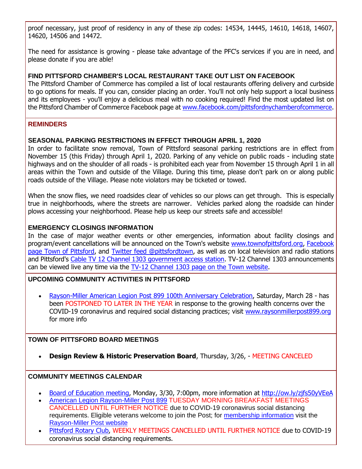proof necessary, just proof of residency in any of these zip codes: 14534, 14445, 14610, 14618, 14607, 14620, 14506 and 14472.

The need for assistance is growing - please take advantage of the PFC's services if you are in need, and please donate if you are able!

#### **FIND PITTSFORD CHAMBER'S LOCAL RESTAURANT TAKE OUT LIST ON FACEBOOK**

The Pittsford Chamber of Commerce has compiled a list of local restaurants offering delivery and curbside to go options for meals. If you can, consider placing an order. You'll not only help support a local business and its employees - you'll enjoy a delicious meal with no cooking required! Find the most updated list on the Pittsford Chamber of Commerce Facebook page at [www.facebook.com/pittsfordnychamberofcommerce.](http://r20.rs6.net/tn.jsp?f=001RyBGNqsL7OBdmdVzKgz0WGIHSnHVZw8h0s0oQO3pN-xViJnO6rY2ol9HWZ-5Qua7pI-wkLI28jIM2iAi5BhXyHWj8U5AmUdszuCRNGPp5xKQJ4mP8A8Zl-QGz5iSLV0WJz62SFCN3l0agUm27-Wh2vW1In9cyTBKfbjFqTnxOtjb4nX5npgo9PuyqWQnEyWrXAdDf_RjY35GKL8jPgB9tA==&c=rWR2rwN8iMYucZCjpzLb1KwZKvIQdX1j55vdWtzN5mXLzzR1u3gWjA==&ch=IDfNPbvseTBR53DFk-tFwbyVVuoi_8uBKejA8R6sBUcnTwtwh6c2Lw==)

#### **REMINDERS**

#### **SEASONAL PARKING RESTRICTIONS IN EFFECT THROUGH APRIL 1, 2020**

In order to facilitate snow removal, Town of Pittsford seasonal parking restrictions are in effect from November 15 (this Friday) through April 1, 2020. Parking of any vehicle on public roads - including state highways and on the shoulder of all roads - is prohibited each year from November 15 through April 1 in all areas within the Town and outside of the Village. During this time, please don't park on or along public roads outside of the Village. Please note violators may be ticketed or towed.

When the snow flies, we need roadsides clear of vehicles so our plows can get through. This is especially true in neighborhoods, where the streets are narrower. Vehicles parked along the roadside can hinder plows accessing your neighborhood. Please help us keep our streets safe and accessible!

#### **EMERGENCY CLOSINGS INFORMATION**

In the case of major weather events or other emergencies, information about facility closings and program/event cancellations will be announced on the Town's website [www.townofpittsford.org,](http://townofpittsford.org/?utm_source=eNews+3-26-20&utm_campaign=eNews+03-26-20&utm_medium=email) [Facebook](https://www.facebook.com/pages/Town-of-Pittsford/139082619464200)  [page Town of Pittsford,](https://www.facebook.com/pages/Town-of-Pittsford/139082619464200) and [Twitter feed @pittsfordtown,](http://r20.rs6.net/tn.jsp?f=001RyBGNqsL7OBdmdVzKgz0WGIHSnHVZw8h0s0oQO3pN-xViJnO6rY2ohq7HBivZjvx1vFzAprmCdRHn3oBo38NxBJWAfbbt9jM72mmo6qZDxCeNBTa4B9mo9OpnyY1Tsw6tQxNs2OXCbOwNcLPosj4c1pbrNHL8qV1rSFtEDOafxD2IDmQHL3d-g==&c=rWR2rwN8iMYucZCjpzLb1KwZKvIQdX1j55vdWtzN5mXLzzR1u3gWjA==&ch=IDfNPbvseTBR53DFk-tFwbyVVuoi_8uBKejA8R6sBUcnTwtwh6c2Lw==) as well as on local television and radio stations and Pittsford's [Cable TV 12 Channel 1303 government access station.](http://townofpittsford.org/home-channel12?utm_source=eNews+3-26-20&utm_campaign=eNews+03-26-20&utm_medium=email) TV-12 Channel 1303 announcements can be viewed live any time via the [TV-12 Channel 1303 page on the Town website.](http://townofpittsford.org/home-channel12?utm_source=eNews+3-26-20&utm_campaign=eNews+03-26-20&utm_medium=email)

#### **UPCOMING COMMUNITY ACTIVITIES IN PITTSFORD**

 [Rayson-Miller American Legion Post 899 100th Anniversary Celebration,](http://r20.rs6.net/tn.jsp?f=001RyBGNqsL7OBdmdVzKgz0WGIHSnHVZw8h0s0oQO3pN-xViJnO6rY2oiyCm3veJJBFD3A-sMkrElIKbNCLd0d9hpzGe0gmRT8rDI3aoZbWF7oQb7xG74MlmkGYBRYFCnDpt8PIBsJ7dSd8nONIDOn6PhWCfU2jg5M2Gs7RVWAiL6WgSD_XpGRkKsMFdqBOZitnNhQJJgOYAiiwPXs_suTI872fYBfZ_N3vweEQIRRuo7lXXt2A24T5SJpEypNiXT6-al0_sziWyKD7xZMp73A5EHAjv8gaODV0PLsT0dTJHbE=&c=rWR2rwN8iMYucZCjpzLb1KwZKvIQdX1j55vdWtzN5mXLzzR1u3gWjA==&ch=IDfNPbvseTBR53DFk-tFwbyVVuoi_8uBKejA8R6sBUcnTwtwh6c2Lw==) Saturday, March 28 - has been POSTPONED TO LATER IN THE YEAR in response to the growing health concerns over the COVID-19 coronavirus and required social distancing practices; visit [www.raysonmillerpost899.org](http://r20.rs6.net/tn.jsp?f=001RyBGNqsL7OBdmdVzKgz0WGIHSnHVZw8h0s0oQO3pN-xViJnO6rY2oiyCm3veJJBFD3A-sMkrElIKbNCLd0d9hpzGe0gmRT8rDI3aoZbWF7oQb7xG74MlmkGYBRYFCnDpt8PIBsJ7dSd8nONIDOn6PhWCfU2jg5M2Gs7RVWAiL6WgSD_XpGRkKsMFdqBOZitnNhQJJgOYAiiwPXs_suTI872fYBfZ_N3vweEQIRRuo7lXXt2A24T5SJpEypNiXT6-al0_sziWyKD7xZMp73A5EHAjv8gaODV0PLsT0dTJHbE=&c=rWR2rwN8iMYucZCjpzLb1KwZKvIQdX1j55vdWtzN5mXLzzR1u3gWjA==&ch=IDfNPbvseTBR53DFk-tFwbyVVuoi_8uBKejA8R6sBUcnTwtwh6c2Lw==) for more info

#### **TOWN OF PITTSFORD BOARD MEETINGS**

**Design Review & Historic Preservation Board**, Thursday, 3/26, - MEETING CANCELED

#### **COMMUNITY MEETINGS CALENDAR**

- [Board of Education meeting,](http://r20.rs6.net/tn.jsp?f=001RyBGNqsL7OBdmdVzKgz0WGIHSnHVZw8h0s0oQO3pN-xViJnO6rY2ol9HWZ-5Qua7WHZH_i6cbXKpLx0dfeDFMxKjx_8G4C21xwVTIbOyhUs0ma_9_pmU67-XaXh3vWDoqwjTu9xCH9kmhCHfQV9DoffFSWmg88wUaHq5FFmNTzA0PvU0f-_-VOe24L1d3URFmQkpUxFWL6jINeAau5uDRATeyiMZnSoBmwL6pv6cZ4sFDTPz-emb1J1k9BcyH2jhSE9wZfRazJs-DNN-Ey-bsmGdSlGq1qoV&c=rWR2rwN8iMYucZCjpzLb1KwZKvIQdX1j55vdWtzN5mXLzzR1u3gWjA==&ch=IDfNPbvseTBR53DFk-tFwbyVVuoi_8uBKejA8R6sBUcnTwtwh6c2Lw==) Monday, 3/30, 7:00pm, more information at [http://ow.ly/zjfs50yVEeA](http://r20.rs6.net/tn.jsp?f=001RyBGNqsL7OBdmdVzKgz0WGIHSnHVZw8h0s0oQO3pN-xViJnO6rY2ol9HWZ-5Qua7WHZH_i6cbXKpLx0dfeDFMxKjx_8G4C21xwVTIbOyhUs0ma_9_pmU67-XaXh3vWDoqwjTu9xCH9kmhCHfQV9DoffFSWmg88wUaHq5FFmNTzA0PvU0f-_-VOe24L1d3URFmQkpUxFWL6jINeAau5uDRATeyiMZnSoBmwL6pv6cZ4sFDTPz-emb1J1k9BcyH2jhSE9wZfRazJs-DNN-Ey-bsmGdSlGq1qoV&c=rWR2rwN8iMYucZCjpzLb1KwZKvIQdX1j55vdWtzN5mXLzzR1u3gWjA==&ch=IDfNPbvseTBR53DFk-tFwbyVVuoi_8uBKejA8R6sBUcnTwtwh6c2Lw==)
- [American Legion Rayson-Miller Post 899](http://r20.rs6.net/tn.jsp?f=001RyBGNqsL7OBdmdVzKgz0WGIHSnHVZw8h0s0oQO3pN-xViJnO6rY2ogZsJN2JRo2tupQAqLaU6pICsB4oHeCngXdtO306i2XnnZl2VlxcmilUuFmqc9Gjb4YlnzCYpIw2wHfysDV5kDpAAYrFOLlH9T-Hlu4fb0qb4edQS82xI8WbhwCy324TOkLjlkn2soUiI4eqym727DF9gsg4q5x8KXqTYAUj03cmXwDImS7-thiyc4PaRUAF5-E_c7ZSi66A6_8fIGyuVVFv_ZzEYwQY5n45-7sZLCL0xIq8fOu7R5ncExlFge8dZQ==&c=rWR2rwN8iMYucZCjpzLb1KwZKvIQdX1j55vdWtzN5mXLzzR1u3gWjA==&ch=IDfNPbvseTBR53DFk-tFwbyVVuoi_8uBKejA8R6sBUcnTwtwh6c2Lw==) TUESDAY MORNING BREAKFAST MEETINGS CANCELLED UNTIL FURTHER NOTICE due to COVID-19 coronavirus social distancing requirements. Eligible veterans welcome to join the Post; for [membership information](http://r20.rs6.net/tn.jsp?f=001RyBGNqsL7OBdmdVzKgz0WGIHSnHVZw8h0s0oQO3pN-xViJnO6rY2ogZsJN2JRo2tcASeaJ284FneQE0-cX3xCzISS3mVXdmfiIqDA9pVzD9u7BDU_UzhkD7aJwFEo445lbvRLfYkgbhxnaLe7JQUaSgr89OXOdgVXJpaMxEhWY5dKpvHTkcBsB_ksbv_iKdTXgOk8nJfTb3WB-BrsQiqyJvn5JhWgxJLsKCLQQpK9THMNmNyalM7hvrSMS8uY4MscpImyFxjHOzC_i5LcsU9T0R7X7yELer65Ao7oGdcAWmxBuvOwaYaL-SdctxL816AdHgB9qJUNYU=&c=rWR2rwN8iMYucZCjpzLb1KwZKvIQdX1j55vdWtzN5mXLzzR1u3gWjA==&ch=IDfNPbvseTBR53DFk-tFwbyVVuoi_8uBKejA8R6sBUcnTwtwh6c2Lw==) visit the [Rayson-Miller Post website](http://r20.rs6.net/tn.jsp?f=001RyBGNqsL7OBdmdVzKgz0WGIHSnHVZw8h0s0oQO3pN-xViJnO6rY2oqUf6f5PxdfvPvNHcaEwLLBiKnzEm7abtrVXmiDsgq7emFrIE1BHIeP_lWQ6FLYdm0onN258KjEMF7vEc-I0plWGwB7FY_91kAqDrEwVWHECZCPzMh64WU9kF3k1Y7rkIyzs6Rsc0aO1FxsSWho2Vj6NAW7gQyMuXp9vt0EmuTUn61pkRWj31kpmBEp5YAs0OUi5qJJdzDQLu0vC1NfDBFjY9F_YPe0MNVjed0UJ1wSOP9BxzBQIPZXRmNyIRW5Y5M_BQYiuKoqLbcvwmL8JYx8wWqrz4XwmEwIQzFOYPVzdgwhM51CWShvYdPvV4kUbwFDoRoW696jZNujH6Nk_aQQ=&c=rWR2rwN8iMYucZCjpzLb1KwZKvIQdX1j55vdWtzN5mXLzzR1u3gWjA==&ch=IDfNPbvseTBR53DFk-tFwbyVVuoi_8uBKejA8R6sBUcnTwtwh6c2Lw==)
- [Pittsford Rotary Club,](http://r20.rs6.net/tn.jsp?f=001RyBGNqsL7OBdmdVzKgz0WGIHSnHVZw8h0s0oQO3pN-xViJnO6rY2oomtMWkjxNetrMfQoINEEDnWcExfuBMpq7AT13bkWay8TdsUWmnwETZ0w1CGXhHemx9mkkNWVEKAwkBR9zq6uIlMJ08oyKak2CwXrqHr_S_YuFEwv5QSbX0PnHLpWqVbyFGUrZjuNZyrr76uVddZrrTYUV_3JKAVOOrIxLgfy809S8uBH63TcfvUozUj2wpJCibjGpk8Zev-BJeaDi2tHU6pXAqlmKag-Eo3qSgTY-tFLAo-mFToGgI=&c=rWR2rwN8iMYucZCjpzLb1KwZKvIQdX1j55vdWtzN5mXLzzR1u3gWjA==&ch=IDfNPbvseTBR53DFk-tFwbyVVuoi_8uBKejA8R6sBUcnTwtwh6c2Lw==) WEEKLY MEETINGS CANCELLED UNTIL FURTHER NOTICE due to COVID-19 coronavirus social distancing requirements.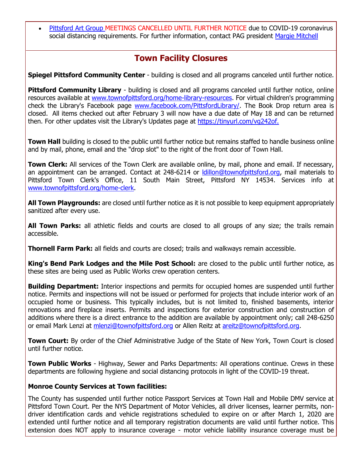[Pittsford Art Group M](https://pittsfordartgroup.wordpress.com/?utm_source=eNews+3-26-20&utm_campaign=eNews+03-26-20&utm_medium=email)EETINGS CANCELLED UNTIL FURTHER NOTICE due to COVID-19 coronavirus social distancing requirements. For further information, contact PAG president [Margie Mitchell](mailto:mhsmitchell@gmail.com?subject=Pittsford%20Art%20Group%20Meetings%20and%20Membership)

### **Town Facility Closures**

**Spiegel Pittsford Community Center** - building is closed and all programs canceled until further notice.

**Pittsford Community Library** - building is closed and all programs canceled until further notice, online resources available at [www.townofpittsford.org/home-library-resources.](http://r20.rs6.net/tn.jsp?f=001RyBGNqsL7OBdmdVzKgz0WGIHSnHVZw8h0s0oQO3pN-xViJnO6rY2ogwG5Z30L5RaKOOH2ZQoKb-9H89NKa-QPfsER5PpgCy9yl1Ed_KEH1RmO7d8nEiErH_xrxAyWTZ4M_1R9IPRWPEpPgX_sOxOAJapo0jAF5NnzVSLqsi5InHEvslGie8WRl3CtUphm3t9a3ZKjXaT6w8k0MAxtICUrOksmpCx6PyXcEkwQSc_Njovya4tdabJPDIHDySOOcp9s4BWwE7IR_QLp8KDI2uOIF2Xmp_T6-IatGa3MjO2NXiS4vzzaDfR-AeUyhqzXAlbfCARnjd1liQ=&c=rWR2rwN8iMYucZCjpzLb1KwZKvIQdX1j55vdWtzN5mXLzzR1u3gWjA==&ch=IDfNPbvseTBR53DFk-tFwbyVVuoi_8uBKejA8R6sBUcnTwtwh6c2Lw==) For virtual children's programming check the Library's Facebook page [www.facebook.com/PittsfordLibrary/.](http://r20.rs6.net/tn.jsp?f=001RyBGNqsL7OBdmdVzKgz0WGIHSnHVZw8h0s0oQO3pN-xViJnO6rY2ogiVM2xtc1eWX-tKQuijF839L-9Q_mM9aVfVjADGaiB3JuFCWoc2UCfJOa5Zn04b0uJb7edYXCUNPEXVoTJ0eexh7NSVjzs4tG3LcmcqGudGJUy6XvF3V3pqxX6EmM605brf2F6ElPMxkg-zUjHRZgE=&c=rWR2rwN8iMYucZCjpzLb1KwZKvIQdX1j55vdWtzN5mXLzzR1u3gWjA==&ch=IDfNPbvseTBR53DFk-tFwbyVVuoi_8uBKejA8R6sBUcnTwtwh6c2Lw==) The Book Drop return area is closed. All items checked out after February 3 will now have a due date of May 18 and can be returned then. For other updates visit the Library's Updates page at [https://tinyurl.com/vg242of.](http://r20.rs6.net/tn.jsp?f=001RyBGNqsL7OBdmdVzKgz0WGIHSnHVZw8h0s0oQO3pN-xViJnO6rY2ogiVM2xtc1eWHfqUYAesvGuB_erUSN6xmCXxwQp43ZHeeJIFKDLN3r981zsqN-SEyI4l8wqz1y6O5LKE0Ev5Bh-dXJIDVriOyhL2wofXjl5d80h2KHQLEy11ckH9Iw9Qtw==&c=rWR2rwN8iMYucZCjpzLb1KwZKvIQdX1j55vdWtzN5mXLzzR1u3gWjA==&ch=IDfNPbvseTBR53DFk-tFwbyVVuoi_8uBKejA8R6sBUcnTwtwh6c2Lw==)

**Town Hall** building is closed to the public until further notice but remains staffed to handle business online and by mail, phone, email and the "drop slot" to the right of the front door of Town Hall.

**Town Clerk:** All services of the Town Clerk are available online, by mail, phone and email. If necessary, an appointment can be arranged. Contact at 248-6214 or [ldillon@townofpittsford.org,](mailto:ldillon@townofpittsford.org) mail materials to Pittsford Town Clerk's Office, 11 South Main Street, Pittsford NY 14534. Services info at [www.townofpittsford.org/home-clerk.](http://r20.rs6.net/tn.jsp?f=001RyBGNqsL7OBdmdVzKgz0WGIHSnHVZw8h0s0oQO3pN-xViJnO6rY2ogwG5Z30L5RadpQh3iM-nBsSnAcHoWa0u9en6duplGDH38p_zMyNDa-UgIQq8qs3yNP01iWe9eKzhYyYwiZOsDn99WVJQ6TZzSvwR6kwmFLr1DdGP2ntHwxFZEkUO5DS-VkovjiJR3yfeHQ5hiPKcIu-cO0R5dhKe0MoF2Si2jCAZj6ckhbJWd11eYaSXjk02wLeABoCB7VzvXut7xIuKKgYZ9s3uWJs45OB7pzsrmzT3r_aD-lUP5pR9R2GlnpKOQ==&c=rWR2rwN8iMYucZCjpzLb1KwZKvIQdX1j55vdWtzN5mXLzzR1u3gWjA==&ch=IDfNPbvseTBR53DFk-tFwbyVVuoi_8uBKejA8R6sBUcnTwtwh6c2Lw==)

**All Town Playgrounds:** are closed until further notice as it is not possible to keep equipment appropriately sanitized after every use.

**All Town Parks:** all athletic fields and courts are closed to all groups of any size; the trails remain accessible.

**Thornell Farm Park:** all fields and courts are closed; trails and walkways remain accessible.

**King's Bend Park Lodges and the Mile Post School:** are closed to the public until further notice, as these sites are being used as Public Works crew operation centers.

**Building Department:** Interior inspections and permits for occupied homes are suspended until further notice. Permits and inspections will not be issued or performed for projects that include interior work of an occupied home or business. This typically includes, but is not limited to, finished basements, interior renovations and fireplace inserts. Permits and inspections for exterior construction and construction of additions where there is a direct entrance to the addition are available by appointment only; call 248-6250 or email Mark Lenzi at [mlenzi@townofpittsford.org](mailto:mlenzi@townofpittsford.org?subject=Building%20Inspection) or Allen Reitz at [areitz@townofpittsford.org.](mailto:areitz@townofpittsford.org?subject=Building%20Inspection)

**Town Court:** By order of the Chief Administrative Judge of the State of New York, Town Court is closed until further notice.

**Town Public Works** - Highway, Sewer and Parks Departments: All operations continue. Crews in these departments are following hygiene and social distancing protocols in light of the COVID-19 threat.

#### **Monroe County Services at Town facilities:**

The County has suspended until further notice Passport Services at Town Hall and Mobile DMV service at Pittsford Town Court. Per the NYS Department of Motor Vehicles, all driver licenses, learner permits, nondriver identification cards and vehicle registrations scheduled to expire on or after March 1, 2020 are extended until further notice and all temporary registration documents are valid until further notice. This extension does NOT apply to insurance coverage - motor vehicle liability insurance coverage must be